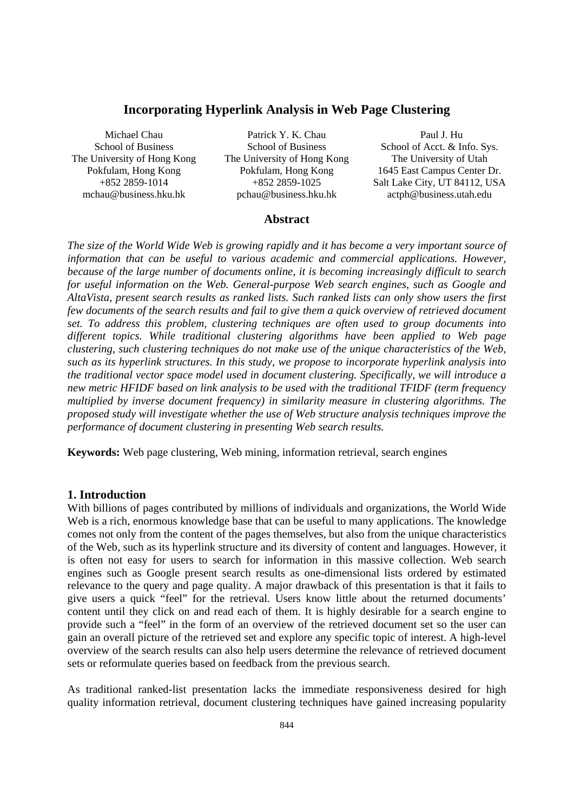# **Incorporating Hyperlink Analysis in Web Page Clustering**

Michael Chau School of Business The University of Hong Kong Pokfulam, Hong Kong +852 2859-1014 mchau@business.hku.hk

Patrick Y. K. Chau School of Business The University of Hong Kong Pokfulam, Hong Kong +852 2859-1025 pchau@business.hku.hk

 Paul J. Hu School of Acct. & Info. Sys. The University of Utah 1645 East Campus Center Dr. Salt Lake City, UT 84112, USA actph@business.utah.edu

# **Abstract**

*The size of the World Wide Web is growing rapidly and it has become a very important source of information that can be useful to various academic and commercial applications. However, because of the large number of documents online, it is becoming increasingly difficult to search for useful information on the Web. General-purpose Web search engines, such as Google and AltaVista, present search results as ranked lists. Such ranked lists can only show users the first few documents of the search results and fail to give them a quick overview of retrieved document set. To address this problem, clustering techniques are often used to group documents into different topics. While traditional clustering algorithms have been applied to Web page clustering, such clustering techniques do not make use of the unique characteristics of the Web, such as its hyperlink structures. In this study, we propose to incorporate hyperlink analysis into the traditional vector space model used in document clustering. Specifically, we will introduce a new metric HFIDF based on link analysis to be used with the traditional TFIDF (term frequency multiplied by inverse document frequency) in similarity measure in clustering algorithms. The proposed study will investigate whether the use of Web structure analysis techniques improve the performance of document clustering in presenting Web search results.* 

**Keywords:** Web page clustering, Web mining, information retrieval, search engines

### **1. Introduction**

With billions of pages contributed by millions of individuals and organizations, the World Wide Web is a rich, enormous knowledge base that can be useful to many applications. The knowledge comes not only from the content of the pages themselves, but also from the unique characteristics of the Web, such as its hyperlink structure and its diversity of content and languages. However, it is often not easy for users to search for information in this massive collection. Web search engines such as Google present search results as one-dimensional lists ordered by estimated relevance to the query and page quality. A major drawback of this presentation is that it fails to give users a quick "feel" for the retrieval. Users know little about the returned documents' content until they click on and read each of them. It is highly desirable for a search engine to provide such a "feel" in the form of an overview of the retrieved document set so the user can gain an overall picture of the retrieved set and explore any specific topic of interest. A high-level overview of the search results can also help users determine the relevance of retrieved document sets or reformulate queries based on feedback from the previous search.

As traditional ranked-list presentation lacks the immediate responsiveness desired for high quality information retrieval, document clustering techniques have gained increasing popularity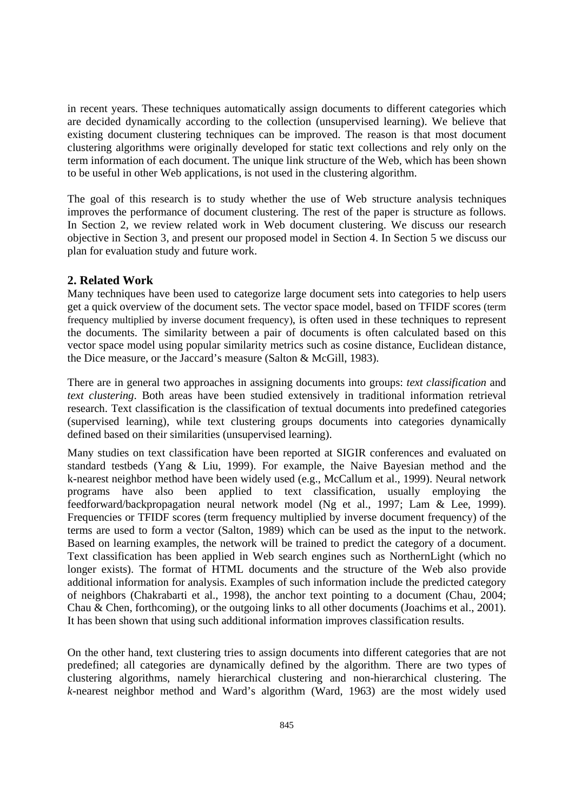in recent years. These techniques automatically assign documents to different categories which are decided dynamically according to the collection (unsupervised learning). We believe that existing document clustering techniques can be improved. The reason is that most document clustering algorithms were originally developed for static text collections and rely only on the term information of each document. The unique link structure of the Web, which has been shown to be useful in other Web applications, is not used in the clustering algorithm.

The goal of this research is to study whether the use of Web structure analysis techniques improves the performance of document clustering. The rest of the paper is structure as follows. In Section 2, we review related work in Web document clustering. We discuss our research objective in Section 3, and present our proposed model in Section 4. In Section 5 we discuss our plan for evaluation study and future work.

# **2. Related Work**

Many techniques have been used to categorize large document sets into categories to help users get a quick overview of the document sets. The vector space model, based on TFIDF scores (term frequency multiplied by inverse document frequency), is often used in these techniques to represent the documents. The similarity between a pair of documents is often calculated based on this vector space model using popular similarity metrics such as cosine distance, Euclidean distance, the Dice measure, or the Jaccard's measure (Salton & McGill, 1983).

There are in general two approaches in assigning documents into groups: *text classification* and *text clustering*. Both areas have been studied extensively in traditional information retrieval research. Text classification is the classification of textual documents into predefined categories (supervised learning), while text clustering groups documents into categories dynamically defined based on their similarities (unsupervised learning).

Many studies on text classification have been reported at SIGIR conferences and evaluated on standard testbeds (Yang & Liu, 1999). For example, the Naive Bayesian method and the k-nearest neighbor method have been widely used (e.g., McCallum et al., 1999). Neural network programs have also been applied to text classification, usually employing the feedforward/backpropagation neural network model (Ng et al., 1997; Lam & Lee, 1999). Frequencies or TFIDF scores (term frequency multiplied by inverse document frequency) of the terms are used to form a vector (Salton, 1989) which can be used as the input to the network. Based on learning examples, the network will be trained to predict the category of a document. Text classification has been applied in Web search engines such as NorthernLight (which no longer exists). The format of HTML documents and the structure of the Web also provide additional information for analysis. Examples of such information include the predicted category of neighbors (Chakrabarti et al., 1998), the anchor text pointing to a document (Chau, 2004; Chau & Chen, forthcoming), or the outgoing links to all other documents (Joachims et al., 2001). It has been shown that using such additional information improves classification results.

On the other hand, text clustering tries to assign documents into different categories that are not predefined; all categories are dynamically defined by the algorithm. There are two types of clustering algorithms, namely hierarchical clustering and non-hierarchical clustering. The *k*-nearest neighbor method and Ward's algorithm (Ward, 1963) are the most widely used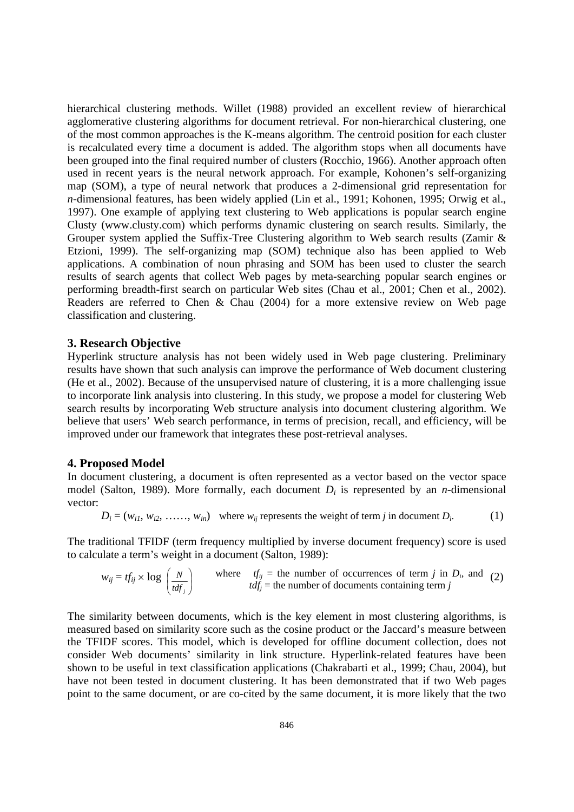hierarchical clustering methods. Willet (1988) provided an excellent review of hierarchical agglomerative clustering algorithms for document retrieval. For non-hierarchical clustering, one of the most common approaches is the K-means algorithm. The centroid position for each cluster is recalculated every time a document is added. The algorithm stops when all documents have been grouped into the final required number of clusters (Rocchio, 1966). Another approach often used in recent years is the neural network approach. For example, Kohonen's self-organizing map (SOM), a type of neural network that produces a 2-dimensional grid representation for *n*-dimensional features, has been widely applied (Lin et al., 1991; Kohonen, 1995; Orwig et al., 1997). One example of applying text clustering to Web applications is popular search engine Clusty (www.clusty.com) which performs dynamic clustering on search results. Similarly, the Grouper system applied the Suffix-Tree Clustering algorithm to Web search results (Zamir & Etzioni, 1999). The self-organizing map (SOM) technique also has been applied to Web applications. A combination of noun phrasing and SOM has been used to cluster the search results of search agents that collect Web pages by meta-searching popular search engines or performing breadth-first search on particular Web sites (Chau et al., 2001; Chen et al., 2002). Readers are referred to Chen & Chau (2004) for a more extensive review on Web page classification and clustering.

# **3. Research Objective**

Hyperlink structure analysis has not been widely used in Web page clustering. Preliminary results have shown that such analysis can improve the performance of Web document clustering (He et al., 2002). Because of the unsupervised nature of clustering, it is a more challenging issue to incorporate link analysis into clustering. In this study, we propose a model for clustering Web search results by incorporating Web structure analysis into document clustering algorithm. We believe that users' Web search performance, in terms of precision, recall, and efficiency, will be improved under our framework that integrates these post-retrieval analyses.

## **4. Proposed Model**

In document clustering, a document is often represented as a vector based on the vector space model (Salton, 1989). More formally, each document *Di* is represented by an *n*-dimensional vector:

$$
D_i = (w_{i1}, w_{i2}, \ldots, w_{in})
$$
 where  $w_{ij}$  represents the weight of term *j* in document  $D_i$ . (1)

The traditional TFIDF (term frequency multiplied by inverse document frequency) score is used to calculate a term's weight in a document (Salton, 1989):

$$
w_{ij} = tf_{ij} \times \log\left(\frac{N}{tdf_j}\right) \qquad \text{where} \quad tf_{ij} = \text{the number of occurrences of term } j \text{ in } D_i \text{, and } (2)
$$
  

$$
tdf_j = \text{the number of documents containing term } j
$$

The similarity between documents, which is the key element in most clustering algorithms, is measured based on similarity score such as the cosine product or the Jaccard's measure between the TFIDF scores. This model, which is developed for offline document collection, does not consider Web documents' similarity in link structure. Hyperlink-related features have been shown to be useful in text classification applications (Chakrabarti et al., 1999; Chau, 2004), but have not been tested in document clustering. It has been demonstrated that if two Web pages point to the same document, or are co-cited by the same document, it is more likely that the two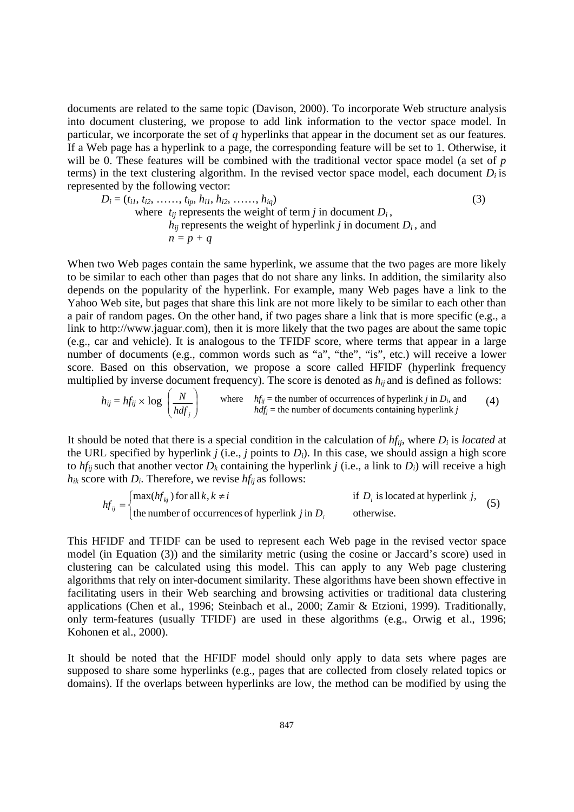documents are related to the same topic (Davison, 2000). To incorporate Web structure analysis into document clustering, we propose to add link information to the vector space model. In particular, we incorporate the set of *q* hyperlinks that appear in the document set as our features. If a Web page has a hyperlink to a page, the corresponding feature will be set to 1. Otherwise, it will be 0. These features will be combined with the traditional vector space model (a set of *p* terms) in the text clustering algorithm. In the revised vector space model, each document  $D_i$  is represented by the following vector:

$$
D_i = (t_{i1}, t_{i2}, \dots, t_{ip}, h_{i1}, h_{i2}, \dots, h_{iq})
$$
\n(3)

\nwhere  $t_{ij}$  represents the weight of term  $j$  in document  $D_i$ ,  $h_{ij}$  represents the weight of hyperlink  $j$  in document  $D_i$ , and  $n = p + q$ 

When two Web pages contain the same hyperlink, we assume that the two pages are more likely to be similar to each other than pages that do not share any links. In addition, the similarity also depends on the popularity of the hyperlink. For example, many Web pages have a link to the Yahoo Web site, but pages that share this link are not more likely to be similar to each other than a pair of random pages. On the other hand, if two pages share a link that is more specific (e.g., a link to http://www.jaguar.com), then it is more likely that the two pages are about the same topic (e.g., car and vehicle). It is analogous to the TFIDF score, where terms that appear in a large number of documents (e.g., common words such as "a", "the", "is", etc.) will receive a lower score. Based on this observation, we propose a score called HFIDF (hyperlink frequency multiplied by inverse document frequency). The score is denoted as  $h_{ij}$  and is defined as follows:

$$
h_{ij} = hf_{ij} \times \log\left(\frac{N}{hdf_j}\right)
$$
 where  $hf_{ij}$  = the number of occurrences of hyperlink *j* in *D<sub>i</sub>*, and  $hf_{ij}$  = the number of documents containing hyperlink *j* (4)

It should be noted that there is a special condition in the calculation of  $hf_{ii}$ , where  $D_i$  is *located* at the URL specified by hyperlink  $j$  (i.e.,  $j$  points to  $D_i$ ). In this case, we should assign a high score to  $hf_{ii}$  such that another vector  $D_k$  containing the hyperlink *j* (i.e., a link to  $D_i$ ) will receive a high  $h_{ik}$  score with  $D_i$ . Therefore, we revise  $hf_{ij}$  as follows:

$$
hf_{ij} = \begin{cases} \max(hf_{kj}) \text{ for all } k, k \neq i & \text{if } D_i \text{ is located at hyperlink } j, \\ \text{the number of occurrences of hyperlink } j \text{ in } D_i & \text{otherwise.} \end{cases}
$$
(5)

This HFIDF and TFIDF can be used to represent each Web page in the revised vector space model (in Equation (3)) and the similarity metric (using the cosine or Jaccard's score) used in clustering can be calculated using this model. This can apply to any Web page clustering algorithms that rely on inter-document similarity. These algorithms have been shown effective in facilitating users in their Web searching and browsing activities or traditional data clustering applications (Chen et al., 1996; Steinbach et al., 2000; Zamir & Etzioni, 1999). Traditionally, only term-features (usually TFIDF) are used in these algorithms (e.g., Orwig et al., 1996; Kohonen et al., 2000).

It should be noted that the HFIDF model should only apply to data sets where pages are supposed to share some hyperlinks (e.g., pages that are collected from closely related topics or domains). If the overlaps between hyperlinks are low, the method can be modified by using the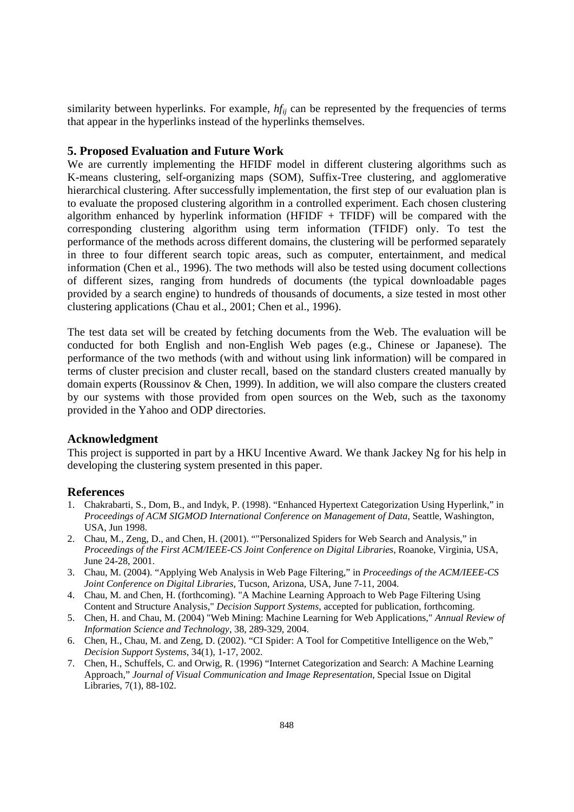similarity between hyperlinks. For example,  $hf_{ij}$  can be represented by the frequencies of terms that appear in the hyperlinks instead of the hyperlinks themselves.

## **5. Proposed Evaluation and Future Work**

We are currently implementing the HFIDF model in different clustering algorithms such as K-means clustering, self-organizing maps (SOM), Suffix-Tree clustering, and agglomerative hierarchical clustering. After successfully implementation, the first step of our evaluation plan is to evaluate the proposed clustering algorithm in a controlled experiment. Each chosen clustering algorithm enhanced by hyperlink information (HFIDF  $+$  TFIDF) will be compared with the corresponding clustering algorithm using term information (TFIDF) only. To test the performance of the methods across different domains, the clustering will be performed separately in three to four different search topic areas, such as computer, entertainment, and medical information (Chen et al., 1996). The two methods will also be tested using document collections of different sizes, ranging from hundreds of documents (the typical downloadable pages provided by a search engine) to hundreds of thousands of documents, a size tested in most other clustering applications (Chau et al., 2001; Chen et al., 1996).

The test data set will be created by fetching documents from the Web. The evaluation will be conducted for both English and non-English Web pages (e.g., Chinese or Japanese). The performance of the two methods (with and without using link information) will be compared in terms of cluster precision and cluster recall, based on the standard clusters created manually by domain experts (Roussinov & Chen, 1999). In addition, we will also compare the clusters created by our systems with those provided from open sources on the Web, such as the taxonomy provided in the Yahoo and ODP directories.

#### **Acknowledgment**

This project is supported in part by a HKU Incentive Award. We thank Jackey Ng for his help in developing the clustering system presented in this paper.

#### **References**

- 1. Chakrabarti, S., Dom, B., and Indyk, P. (1998). "Enhanced Hypertext Categorization Using Hyperlink," in *Proceedings of ACM SIGMOD International Conference on Management of Data*, Seattle, Washington, USA, Jun 1998.
- 2. Chau, M., Zeng, D., and Chen, H. (2001). ""Personalized Spiders for Web Search and Analysis," in *Proceedings of the First ACM/IEEE-CS Joint Conference on Digital Libraries*, Roanoke, Virginia, USA, June 24-28, 2001.
- 3. Chau, M. (2004). "Applying Web Analysis in Web Page Filtering," in *Proceedings of the ACM/IEEE-CS Joint Conference on Digital Libraries*, Tucson, Arizona, USA, June 7-11, 2004.
- 4. Chau, M. and Chen, H. (forthcoming). "A Machine Learning Approach to Web Page Filtering Using Content and Structure Analysis," *Decision Support Systems*, accepted for publication, forthcoming.
- 5. Chen, H. and Chau, M. (2004) "Web Mining: Machine Learning for Web Applications," *Annual Review of Information Science and Technology*, 38, 289-329, 2004.
- 6. Chen, H., Chau, M. and Zeng, D. (2002). "CI Spider: A Tool for Competitive Intelligence on the Web," *Decision Support Systems*, 34(1), 1-17, 2002.
- 7. Chen, H., Schuffels, C. and Orwig, R. (1996) "Internet Categorization and Search: A Machine Learning Approach," *Journal of Visual Communication and Image Representation*, Special Issue on Digital Libraries, 7(1), 88-102.